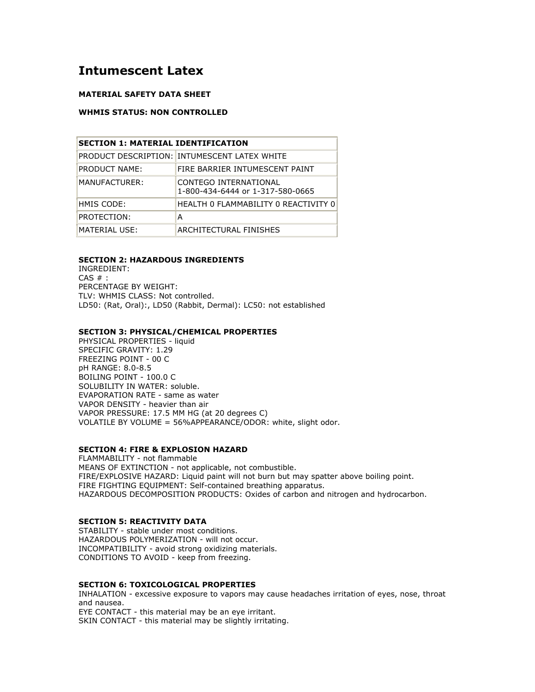# Intumescent Latex

## MATERIAL SAFETY DATA SHEET

## WHMIS STATUS: NON CONTROLLED

| <b>SECTION 1: MATERIAL IDENTIFICATION</b> |                                                           |
|-------------------------------------------|-----------------------------------------------------------|
|                                           | PRODUCT DESCRIPTION: INTUMESCENT LATEX WHITE              |
| PRODUCT NAME:                             | FIRE BARRIER INTUMESCENT PAINT                            |
| MANUFACTURER:                             | CONTEGO INTERNATIONAL<br>1-800-434-6444 or 1-317-580-0665 |
| HMIS CODE:                                | HEALTH O FLAMMABILITY O REACTIVITY O                      |
| PROTECTION:                               | А                                                         |
| MATERIAL USE:                             | ARCHITECTURAL FINISHES                                    |

#### SECTION 2: HAZARDOUS INGREDIENTS

INGREDIENT:  $CAS \#$ : PERCENTAGE BY WEIGHT: TLV: WHMIS CLASS: Not controlled. LD50: (Rat, Oral):, LD50 (Rabbit, Dermal): LC50: not established

## SECTION 3: PHYSICAL/CHEMICAL PROPERTIES

PHYSICAL PROPERTIES - liquid SPECIFIC GRAVITY: 1.29 FREEZING POINT - 00 C pH RANGE: 8.0-8.5 BOILING POINT - 100.0 C SOLUBILITY IN WATER: soluble. EVAPORATION RATE - same as water VAPOR DENSITY - heavier than air VAPOR PRESSURE: 17.5 MM HG (at 20 degrees C) VOLATILE BY VOLUME = 56%APPEARANCE/ODOR: white, slight odor.

## SECTION 4: FIRE & EXPLOSION HAZARD

FLAMMABILITY - not flammable MEANS OF EXTINCTION - not applicable, not combustible. FIRE/EXPLOSIVE HAZARD: Liquid paint will not burn but may spatter above boiling point. FIRE FIGHTING EQUIPMENT: Self-contained breathing apparatus. HAZARDOUS DECOMPOSITION PRODUCTS: Oxides of carbon and nitrogen and hydrocarbon.

#### SECTION 5: REACTIVITY DATA

STABILITY - stable under most conditions. HAZARDOUS POLYMERIZATION - will not occur. INCOMPATIBILITY - avoid strong oxidizing materials. CONDITIONS TO AVOID - keep from freezing.

#### SECTION 6: TOXICOLOGICAL PROPERTIES

INHALATION - excessive exposure to vapors may cause headaches irritation of eyes, nose, throat and nausea.

EYE CONTACT - this material may be an eye irritant. SKIN CONTACT - this material may be slightly irritating.